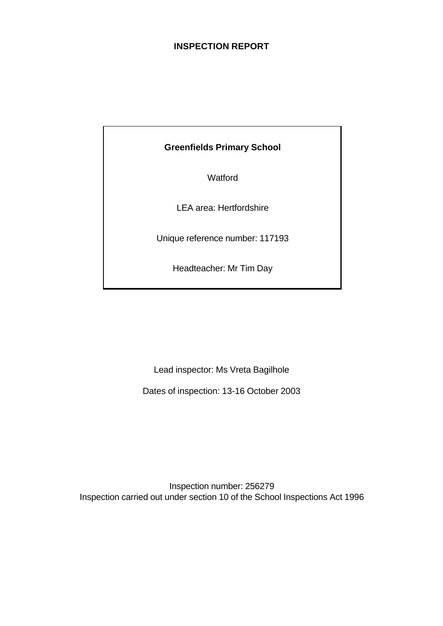# **INSPECTION REPORT**

# **Greenfields Primary School**

**Watford** 

LEA area: Hertfordshire

Unique reference number: 117193

Headteacher: Mr Tim Day

Lead inspector: Ms Vreta Bagilhole

Dates of inspection: 13-16 October 2003

Inspection number: 256279 Inspection carried out under section 10 of the School Inspections Act 1996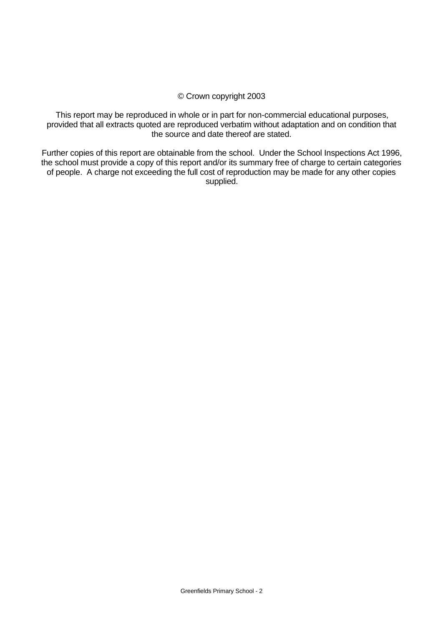## © Crown copyright 2003

This report may be reproduced in whole or in part for non-commercial educational purposes, provided that all extracts quoted are reproduced verbatim without adaptation and on condition that the source and date thereof are stated.

Further copies of this report are obtainable from the school. Under the School Inspections Act 1996, the school must provide a copy of this report and/or its summary free of charge to certain categories of people. A charge not exceeding the full cost of reproduction may be made for any other copies supplied.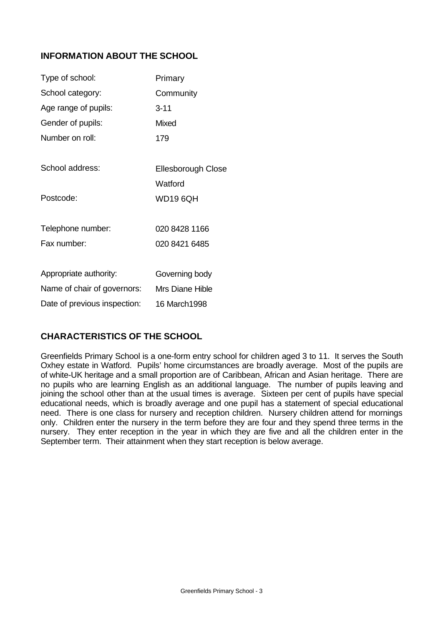# **INFORMATION ABOUT THE SCHOOL**

| Type of school:              | Primary                   |
|------------------------------|---------------------------|
| School category:             | Community                 |
| Age range of pupils:         | $3 - 11$                  |
| Gender of pupils:            | Mixed                     |
| Number on roll:              | 179                       |
|                              |                           |
| School address:              | <b>Ellesborough Close</b> |
|                              | Watford                   |
| Postcode:                    | <b>WD19 6QH</b>           |
|                              |                           |
| Telephone number:            | 020 8428 1166             |
| Fax number:                  | 020 8421 6485             |
|                              |                           |
| Appropriate authority:       | Governing body            |
| Name of chair of governors:  | Mrs Diane Hible           |
| Date of previous inspection: | 16 March1998              |

# **CHARACTERISTICS OF THE SCHOOL**

Greenfields Primary School is a one-form entry school for children aged 3 to 11. It serves the South Oxhey estate in Watford. Pupils' home circumstances are broadly average. Most of the pupils are of white-UK heritage and a small proportion are of Caribbean, African and Asian heritage. There are no pupils who are learning English as an additional language. The number of pupils leaving and joining the school other than at the usual times is average. Sixteen per cent of pupils have special educational needs, which is broadly average and one pupil has a statement of special educational need. There is one class for nursery and reception children. Nursery children attend for mornings only. Children enter the nursery in the term before they are four and they spend three terms in the nursery. They enter reception in the year in which they are five and all the children enter in the September term. Their attainment when they start reception is below average.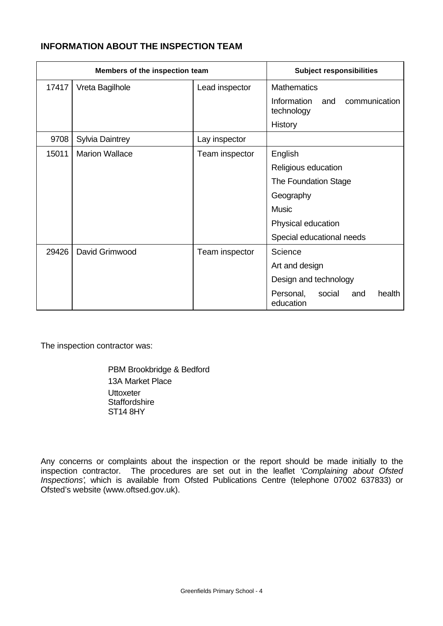# **INFORMATION ABOUT THE INSPECTION TEAM**

| Members of the inspection team |                        |                | <b>Subject responsibilities</b>                   |
|--------------------------------|------------------------|----------------|---------------------------------------------------|
| 17417                          | Vreta Bagilhole        | Lead inspector | <b>Mathematics</b>                                |
|                                |                        |                | communication<br>Information<br>and<br>technology |
|                                |                        |                | History                                           |
| 9708                           | <b>Sylvia Daintrey</b> | Lay inspector  |                                                   |
| 15011                          | <b>Marion Wallace</b>  | Team inspector | English                                           |
|                                |                        |                | Religious education                               |
|                                |                        |                | The Foundation Stage                              |
|                                |                        |                | Geography                                         |
|                                |                        |                | <b>Music</b>                                      |
|                                |                        |                | Physical education                                |
|                                |                        |                | Special educational needs                         |
| 29426                          | David Grimwood         | Team inspector | Science                                           |
|                                |                        |                | Art and design                                    |
|                                |                        |                | Design and technology                             |
|                                |                        |                | Personal,<br>social<br>health<br>and<br>education |

The inspection contractor was:

PBM Brookbridge & Bedford 13A Market Place **Uttoxeter Staffordshire** ST14 8HY

Any concerns or complaints about the inspection or the report should be made initially to the inspection contractor. The procedures are set out in the leaflet *'Complaining about Ofsted Inspections'*, which is available from Ofsted Publications Centre (telephone 07002 637833) or Ofsted's website (www.oftsed.gov.uk).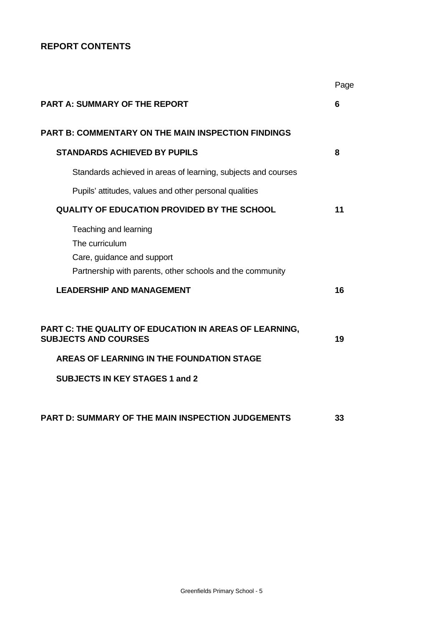# **REPORT CONTENTS**

|                                                                                                                                    | Page |
|------------------------------------------------------------------------------------------------------------------------------------|------|
| <b>PART A: SUMMARY OF THE REPORT</b>                                                                                               | 6    |
| <b>PART B: COMMENTARY ON THE MAIN INSPECTION FINDINGS</b>                                                                          |      |
| <b>STANDARDS ACHIEVED BY PUPILS</b>                                                                                                | 8    |
| Standards achieved in areas of learning, subjects and courses                                                                      |      |
| Pupils' attitudes, values and other personal qualities                                                                             |      |
| <b>QUALITY OF EDUCATION PROVIDED BY THE SCHOOL</b>                                                                                 | 11   |
| Teaching and learning<br>The curriculum<br>Care, guidance and support<br>Partnership with parents, other schools and the community |      |
| <b>LEADERSHIP AND MANAGEMENT</b>                                                                                                   | 16   |
| PART C: THE QUALITY OF EDUCATION IN AREAS OF LEARNING,<br><b>SUBJECTS AND COURSES</b><br>AREAS OF LEARNING IN THE FOUNDATION STAGE | 19   |
| <b>SUBJECTS IN KEY STAGES 1 and 2</b>                                                                                              |      |
| <b>PART D: SUMMARY OF THE MAIN INSPECTION JUDGEMENTS</b>                                                                           | 33   |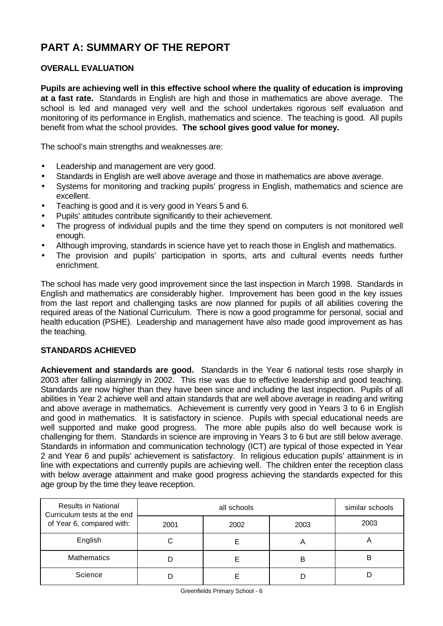# **PART A: SUMMARY OF THE REPORT**

# **OVERALL EVALUATION**

**Pupils are achieving well in this effective school where the quality of education is improving at a fast rate.** Standards in English are high and those in mathematics are above average. The school is led and managed very well and the school undertakes rigorous self evaluation and monitoring of its performance in English, mathematics and science. The teaching is good. All pupils benefit from what the school provides. **The school gives good value for money.**

The school's main strengths and weaknesses are:

- Leadership and management are very good.
- Standards in English are well above average and those in mathematics are above average.
- Systems for monitoring and tracking pupils' progress in English, mathematics and science are excellent.
- Teaching is good and it is very good in Years 5 and 6.
- Pupils' attitudes contribute significantly to their achievement.
- The progress of individual pupils and the time they spend on computers is not monitored well enough.
- Although improving, standards in science have yet to reach those in English and mathematics.
- The provision and pupils' participation in sports, arts and cultural events needs further enrichment.

The school has made very good improvement since the last inspection in March 1998. Standards in English and mathematics are considerably higher. Improvement has been good in the key issues from the last report and challenging tasks are now planned for pupils of all abilities covering the required areas of the National Curriculum. There is now a good programme for personal, social and health education (PSHE). Leadership and management have also made good improvement as has the teaching.

# **STANDARDS ACHIEVED**

**Achievement and standards are good.** Standards in the Year 6 national tests rose sharply in 2003 after falling alarmingly in 2002. This rise was due to effective leadership and good teaching. Standards are now higher than they have been since and including the last inspection. Pupils of all abilities in Year 2 achieve well and attain standards that are well above average in reading and writing and above average in mathematics. Achievement is currently very good in Years 3 to 6 in English and good in mathematics. It is satisfactory in science. Pupils with special educational needs are well supported and make good progress. The more able pupils also do well because work is challenging for them. Standards in science are improving in Years 3 to 6 but are still below average. Standards in information and communication technology (ICT) are typical of those expected in Year 2 and Year 6 and pupils' achievement is satisfactory. In religious education pupils' attainment is in line with expectations and currently pupils are achieving well. The children enter the reception class with below average attainment and make good progress achieving the standards expected for this age group by the time they leave reception.

| <b>Results in National</b><br>Curriculum tests at the end |      | similar schools |      |      |
|-----------------------------------------------------------|------|-----------------|------|------|
| of Year 6, compared with:                                 | 2001 | 2002            | 2003 | 2003 |
| English                                                   |      |                 | A    | n    |
| <b>Mathematics</b>                                        |      |                 | в    | в    |
| Science                                                   |      |                 |      |      |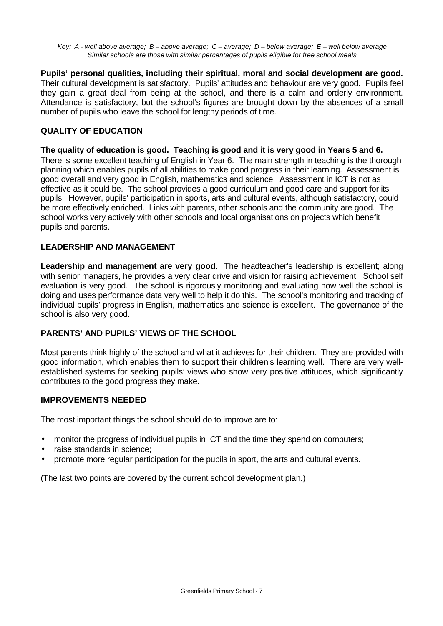*Key: A - well above average; B – above average; C – average; D – below average; E – well below average Similar schools are those with similar percentages of pupils eligible for free school meals*

**Pupils' personal qualities, including their spiritual, moral and social development are good.** Their cultural development is satisfactory. Pupils' attitudes and behaviour are very good. Pupils feel they gain a great deal from being at the school, and there is a calm and orderly environment. Attendance is satisfactory, but the school's figures are brought down by the absences of a small number of pupils who leave the school for lengthy periods of time.

# **QUALITY OF EDUCATION**

#### **The quality of education is good. Teaching is good and it is very good in Years 5 and 6.**

There is some excellent teaching of English in Year 6. The main strength in teaching is the thorough planning which enables pupils of all abilities to make good progress in their learning. Assessment is good overall and very good in English, mathematics and science. Assessment in ICT is not as effective as it could be. The school provides a good curriculum and good care and support for its pupils. However, pupils' participation in sports, arts and cultural events, although satisfactory, could be more effectively enriched. Links with parents, other schools and the community are good. The school works very actively with other schools and local organisations on projects which benefit pupils and parents.

#### **LEADERSHIP AND MANAGEMENT**

**Leadership and management are very good.** The headteacher's leadership is excellent; along with senior managers, he provides a very clear drive and vision for raising achievement. School self evaluation is very good. The school is rigorously monitoring and evaluating how well the school is doing and uses performance data very well to help it do this. The school's monitoring and tracking of individual pupils' progress in English, mathematics and science is excellent. The governance of the school is also very good.

#### **PARENTS' AND PUPILS' VIEWS OF THE SCHOOL**

Most parents think highly of the school and what it achieves for their children. They are provided with good information, which enables them to support their children's learning well. There are very wellestablished systems for seeking pupils' views who show very positive attitudes, which significantly contributes to the good progress they make.

#### **IMPROVEMENTS NEEDED**

The most important things the school should do to improve are to:

- monitor the progress of individual pupils in ICT and the time they spend on computers;
- raise standards in science:
- promote more regular participation for the pupils in sport, the arts and cultural events.

(The last two points are covered by the current school development plan.)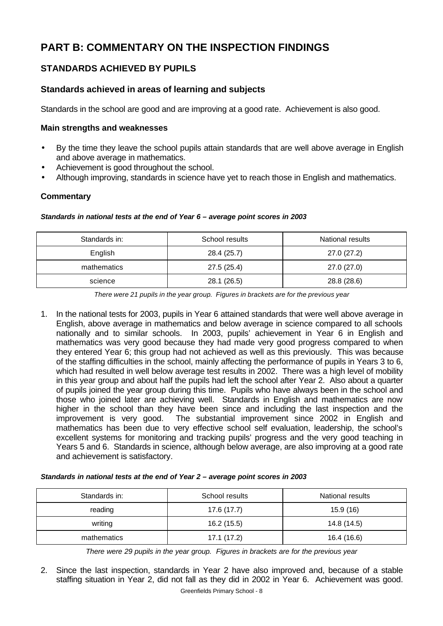# **PART B: COMMENTARY ON THE INSPECTION FINDINGS**

# **STANDARDS ACHIEVED BY PUPILS**

# **Standards achieved in areas of learning and subjects**

Standards in the school are good and are improving at a good rate. Achievement is also good.

### **Main strengths and weaknesses**

- By the time they leave the school pupils attain standards that are well above average in English and above average in mathematics.
- Achievement is good throughout the school.
- Although improving, standards in science have yet to reach those in English and mathematics.

# **Commentary**

#### *Standards in national tests at the end of Year 6 – average point scores in 2003*

| Standards in: | School results | National results |
|---------------|----------------|------------------|
| English       | 28.4 (25.7)    | 27.0 (27.2)      |
| mathematics   | 27.5(25.4)     | 27.0 (27.0)      |
| science       | 28.1 (26.5)    | 28.8 (28.6)      |

*There were 21 pupils in the year group. Figures in brackets are for the previous year*

1. In the national tests for 2003, pupils in Year 6 attained standards that were well above average in English, above average in mathematics and below average in science compared to all schools nationally and to similar schools. In 2003, pupils' achievement in Year 6 in English and mathematics was very good because they had made very good progress compared to when they entered Year 6; this group had not achieved as well as this previously. This was because of the staffing difficulties in the school, mainly affecting the performance of pupils in Years 3 to 6, which had resulted in well below average test results in 2002. There was a high level of mobility in this year group and about half the pupils had left the school after Year 2. Also about a quarter of pupils joined the year group during this time. Pupils who have always been in the school and those who joined later are achieving well. Standards in English and mathematics are now higher in the school than they have been since and including the last inspection and the improvement is very good. The substantial improvement since 2002 in English and mathematics has been due to very effective school self evaluation, leadership, the school's excellent systems for monitoring and tracking pupils' progress and the very good teaching in Years 5 and 6. Standards in science, although below average, are also improving at a good rate and achievement is satisfactory.

#### *Standards in national tests at the end of Year 2 – average point scores in 2003*

| Standards in: | School results | National results |
|---------------|----------------|------------------|
| reading       | 17.6 (17.7)    | 15.9 (16)        |
| writing       | 16.2 (15.5)    | 14.8 (14.5)      |
| mathematics   | 17.1 (17.2)    | 16.4 (16.6)      |

*There were 29 pupils in the year group. Figures in brackets are for the previous year*

Greenfields Primary School - 8 2. Since the last inspection, standards in Year 2 have also improved and, because of a stable staffing situation in Year 2, did not fall as they did in 2002 in Year 6. Achievement was good.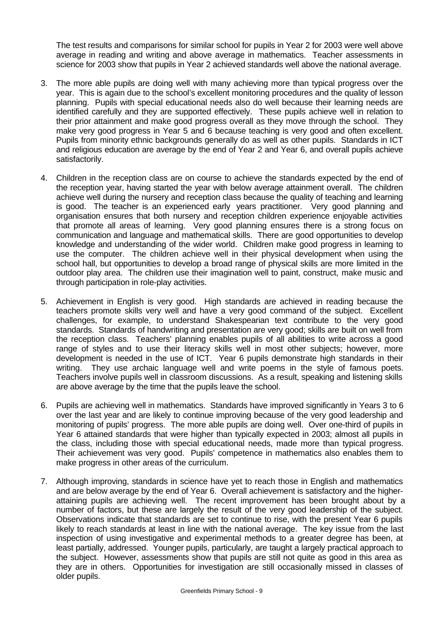The test results and comparisons for similar school for pupils in Year 2 for 2003 were well above average in reading and writing and above average in mathematics. Teacher assessments in science for 2003 show that pupils in Year 2 achieved standards well above the national average.

- 3. The more able pupils are doing well with many achieving more than typical progress over the year. This is again due to the school's excellent monitoring procedures and the quality of lesson planning. Pupils with special educational needs also do well because their learning needs are identified carefully and they are supported effectively. These pupils achieve well in relation to their prior attainment and make good progress overall as they move through the school. They make very good progress in Year 5 and 6 because teaching is very good and often excellent. Pupils from minority ethnic backgrounds generally do as well as other pupils. Standards in ICT and religious education are average by the end of Year 2 and Year 6, and overall pupils achieve satisfactorily.
- 4. Children in the reception class are on course to achieve the standards expected by the end of the reception year, having started the year with below average attainment overall. The children achieve well during the nursery and reception class because the quality of teaching and learning is good. The teacher is an experienced early years practitioner. Very good planning and organisation ensures that both nursery and reception children experience enjoyable activities that promote all areas of learning. Very good planning ensures there is a strong focus on communication and language and mathematical skills. There are good opportunities to develop knowledge and understanding of the wider world. Children make good progress in learning to use the computer. The children achieve well in their physical development when using the school hall, but opportunities to develop a broad range of physical skills are more limited in the outdoor play area. The children use their imagination well to paint, construct, make music and through participation in role-play activities.
- 5. Achievement in English is very good. High standards are achieved in reading because the teachers promote skills very well and have a very good command of the subject. Excellent challenges, for example, to understand Shakespearian text contribute to the very good standards. Standards of handwriting and presentation are very good; skills are built on well from the reception class. Teachers' planning enables pupils of all abilities to write across a good range of styles and to use their literacy skills well in most other subjects; however, more development is needed in the use of ICT. Year 6 pupils demonstrate high standards in their writing. They use archaic language well and write poems in the style of famous poets. Teachers involve pupils well in classroom discussions. As a result, speaking and listening skills are above average by the time that the pupils leave the school.
- 6. Pupils are achieving well in mathematics. Standards have improved significantly in Years 3 to 6 over the last year and are likely to continue improving because of the very good leadership and monitoring of pupils' progress. The more able pupils are doing well. Over one-third of pupils in Year 6 attained standards that were higher than typically expected in 2003; almost all pupils in the class, including those with special educational needs, made more than typical progress. Their achievement was very good. Pupils' competence in mathematics also enables them to make progress in other areas of the curriculum.
- 7. Although improving, standards in science have yet to reach those in English and mathematics and are below average by the end of Year 6. Overall achievement is satisfactory and the higherattaining pupils are achieving well. The recent improvement has been brought about by a number of factors, but these are largely the result of the very good leadership of the subject. Observations indicate that standards are set to continue to rise, with the present Year 6 pupils likely to reach standards at least in line with the national average. The key issue from the last inspection of using investigative and experimental methods to a greater degree has been, at least partially, addressed. Younger pupils, particularly, are taught a largely practical approach to the subject. However, assessments show that pupils are still not quite as good in this area as they are in others. Opportunities for investigation are still occasionally missed in classes of older pupils.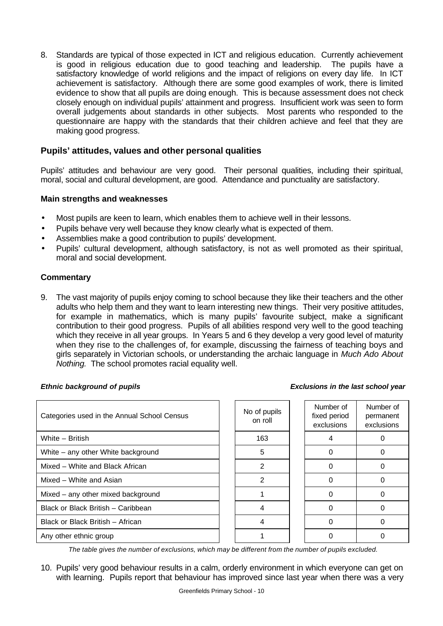8. Standards are typical of those expected in ICT and religious education. Currently achievement is good in religious education due to good teaching and leadership. The pupils have a satisfactory knowledge of world religions and the impact of religions on every day life. In ICT achievement is satisfactory. Although there are some good examples of work, there is limited evidence to show that all pupils are doing enough. This is because assessment does not check closely enough on individual pupils' attainment and progress. Insufficient work was seen to form overall judgements about standards in other subjects. Most parents who responded to the questionnaire are happy with the standards that their children achieve and feel that they are making good progress.

# **Pupils' attitudes, values and other personal qualities**

Pupils' attitudes and behaviour are very good. Their personal qualities, including their spiritual, moral, social and cultural development, are good. Attendance and punctuality are satisfactory.

#### **Main strengths and weaknesses**

- Most pupils are keen to learn, which enables them to achieve well in their lessons.
- Pupils behave very well because they know clearly what is expected of them.
- Assemblies make a good contribution to pupils' development.
- Pupils' cultural development, although satisfactory, is not as well promoted as their spiritual, moral and social development.

#### **Commentary**

9. The vast majority of pupils enjoy coming to school because they like their teachers and the other adults who help them and they want to learn interesting new things. Their very positive attitudes, for example in mathematics, which is many pupils' favourite subject, make a significant contribution to their good progress. Pupils of all abilities respond very well to the good teaching which they receive in all year groups. In Years 5 and 6 they develop a very good level of maturity when they rise to the challenges of, for example, discussing the fairness of teaching boys and girls separately in Victorian schools, or understanding the archaic language in *Much Ado About Nothing.* The school promotes racial equality well.

#### *Ethnic background of pupils Exclusions in the last school year*

| Categories used in the Annual School Census |  | No of pupils<br>on roll | Number of<br>fixed period<br>exclusions | Number of<br>permanent<br>exclusions |
|---------------------------------------------|--|-------------------------|-----------------------------------------|--------------------------------------|
| White - British                             |  | 163                     |                                         |                                      |
| White – any other White background          |  | 5                       | $\Omega$                                |                                      |
| Mixed – White and Black African             |  | 2                       | 0                                       |                                      |
| Mixed - White and Asian                     |  | 2                       | ∩                                       |                                      |
| Mixed - any other mixed background          |  |                         | ∩                                       |                                      |
| Black or Black British - Caribbean          |  |                         | ∩                                       |                                      |
| Black or Black British - African            |  |                         | $\Omega$                                |                                      |
| Any other ethnic group                      |  |                         |                                         |                                      |

*The table gives the number of exclusions, which may be different from the number of pupils excluded.*

10. Pupils' very good behaviour results in a calm, orderly environment in which everyone can get on with learning. Pupils report that behaviour has improved since last year when there was a very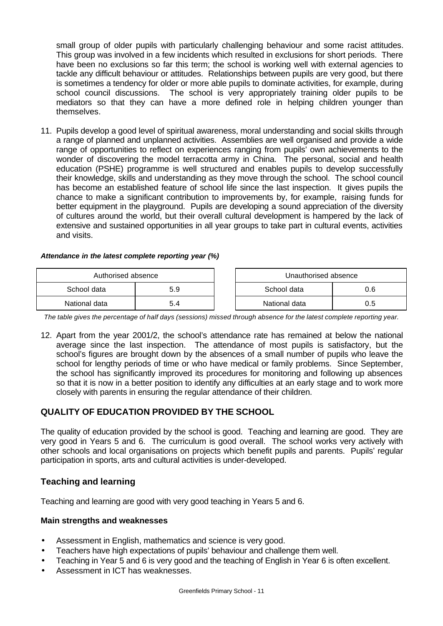small group of older pupils with particularly challenging behaviour and some racist attitudes. This group was involved in a few incidents which resulted in exclusions for short periods. There have been no exclusions so far this term; the school is working well with external agencies to tackle any difficult behaviour or attitudes. Relationships between pupils are very good, but there is sometimes a tendency for older or more able pupils to dominate activities, for example, during school council discussions. The school is very appropriately training older pupils to be mediators so that they can have a more defined role in helping children younger than themselves.

11. Pupils develop a good level of spiritual awareness, moral understanding and social skills through a range of planned and unplanned activities. Assemblies are well organised and provide a wide range of opportunities to reflect on experiences ranging from pupils' own achievements to the wonder of discovering the model terracotta army in China. The personal, social and health education (PSHE) programme is well structured and enables pupils to develop successfully their knowledge, skills and understanding as they move through the school. The school council has become an established feature of school life since the last inspection. It gives pupils the chance to make a significant contribution to improvements by, for example, raising funds for better equipment in the playground. Pupils are developing a sound appreciation of the diversity of cultures around the world, but their overall cultural development is hampered by the lack of extensive and sustained opportunities in all year groups to take part in cultural events, activities and visits.

#### *Attendance in the latest complete reporting year (%)*

| Authorised absence |     |  | Unauthorised absence |     |
|--------------------|-----|--|----------------------|-----|
| School data<br>5.9 |     |  | School data          | 0.6 |
| National data      | 5.4 |  | National data        | 0.5 |

*The table gives the percentage of half days (sessions) missed through absence for the latest complete reporting year.*

12. Apart from the year 2001/2, the school's attendance rate has remained at below the national average since the last inspection. The attendance of most pupils is satisfactory, but the school's figures are brought down by the absences of a small number of pupils who leave the school for lengthy periods of time or who have medical or family problems. Since September, the school has significantly improved its procedures for monitoring and following up absences so that it is now in a better position to identify any difficulties at an early stage and to work more closely with parents in ensuring the regular attendance of their children.

# **QUALITY OF EDUCATION PROVIDED BY THE SCHOOL**

The quality of education provided by the school is good. Teaching and learning are good. They are very good in Years 5 and 6. The curriculum is good overall. The school works very actively with other schools and local organisations on projects which benefit pupils and parents. Pupils' regular participation in sports, arts and cultural activities is under-developed.

# **Teaching and learning**

Teaching and learning are good with very good teaching in Years 5 and 6.

#### **Main strengths and weaknesses**

- Assessment in English, mathematics and science is very good.
- Teachers have high expectations of pupils' behaviour and challenge them well.
- Teaching in Year 5 and 6 is very good and the teaching of English in Year 6 is often excellent.
- Assessment in ICT has weaknesses.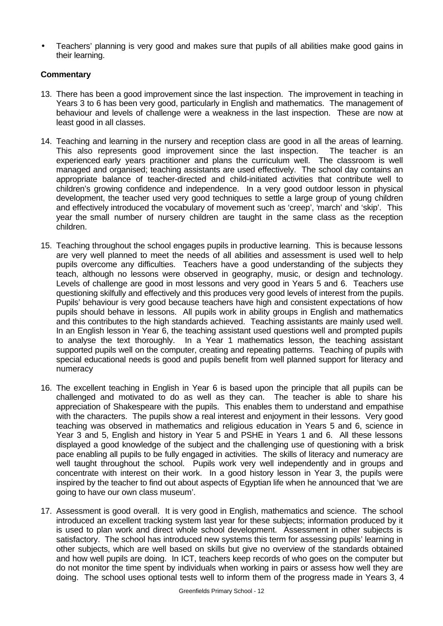• Teachers' planning is very good and makes sure that pupils of all abilities make good gains in their learning.

# **Commentary**

- 13. There has been a good improvement since the last inspection. The improvement in teaching in Years 3 to 6 has been very good, particularly in English and mathematics. The management of behaviour and levels of challenge were a weakness in the last inspection. These are now at least good in all classes.
- 14. Teaching and learning in the nursery and reception class are good in all the areas of learning. This also represents good improvement since the last inspection. The teacher is an experienced early years practitioner and plans the curriculum well. The classroom is well managed and organised; teaching assistants are used effectively. The school day contains an appropriate balance of teacher-directed and child-initiated activities that contribute well to children's growing confidence and independence. In a very good outdoor lesson in physical development, the teacher used very good techniques to settle a large group of young children and effectively introduced the vocabulary of movement such as 'creep', 'march' and 'skip'. This year the small number of nursery children are taught in the same class as the reception children.
- 15. Teaching throughout the school engages pupils in productive learning. This is because lessons are very well planned to meet the needs of all abilities and assessment is used well to help pupils overcome any difficulties. Teachers have a good understanding of the subjects they teach, although no lessons were observed in geography, music, or design and technology. Levels of challenge are good in most lessons and very good in Years 5 and 6. Teachers use questioning skilfully and effectively and this produces very good levels of interest from the pupils. Pupils' behaviour is very good because teachers have high and consistent expectations of how pupils should behave in lessons. All pupils work in ability groups in English and mathematics and this contributes to the high standards achieved. Teaching assistants are mainly used well. In an English lesson in Year 6, the teaching assistant used questions well and prompted pupils to analyse the text thoroughly. In a Year 1 mathematics lesson, the teaching assistant supported pupils well on the computer, creating and repeating patterns. Teaching of pupils with special educational needs is good and pupils benefit from well planned support for literacy and numeracy
- 16. The excellent teaching in English in Year 6 is based upon the principle that all pupils can be challenged and motivated to do as well as they can. The teacher is able to share his appreciation of Shakespeare with the pupils. This enables them to understand and empathise with the characters. The pupils show a real interest and enjoyment in their lessons. Very good teaching was observed in mathematics and religious education in Years 5 and 6, science in Year 3 and 5, English and history in Year 5 and PSHE in Years 1 and 6. All these lessons displayed a good knowledge of the subject and the challenging use of questioning with a brisk pace enabling all pupils to be fully engaged in activities. The skills of literacy and numeracy are well taught throughout the school. Pupils work very well independently and in groups and concentrate with interest on their work. In a good history lesson in Year 3, the pupils were inspired by the teacher to find out about aspects of Egyptian life when he announced that 'we are going to have our own class museum'.
- 17. Assessment is good overall. It is very good in English, mathematics and science. The school introduced an excellent tracking system last year for these subjects; information produced by it is used to plan work and direct whole school development. Assessment in other subjects is satisfactory. The school has introduced new systems this term for assessing pupils' learning in other subjects, which are well based on skills but give no overview of the standards obtained and how well pupils are doing. In ICT, teachers keep records of who goes on the computer but do not monitor the time spent by individuals when working in pairs or assess how well they are doing. The school uses optional tests well to inform them of the progress made in Years 3, 4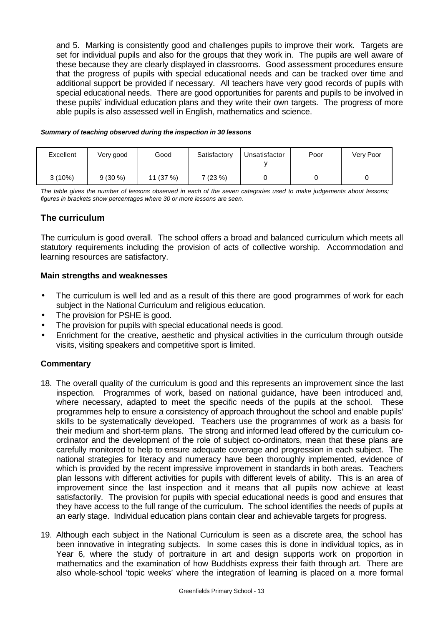and 5. Marking is consistently good and challenges pupils to improve their work. Targets are set for individual pupils and also for the groups that they work in. The pupils are well aware of these because they are clearly displayed in classrooms. Good assessment procedures ensure that the progress of pupils with special educational needs and can be tracked over time and additional support be provided if necessary. All teachers have very good records of pupils with special educational needs. There are good opportunities for parents and pupils to be involved in these pupils' individual education plans and they write their own targets. The progress of more able pupils is also assessed well in English, mathematics and science.

#### *Summary of teaching observed during the inspection in 30 lessons*

| Excellent | Very good | Good    | Satisfactory | Unsatisfactor | Poor | Very Poor |
|-----------|-----------|---------|--------------|---------------|------|-----------|
| $3(10\%)$ | $9(30\%)$ | 11(37%) | 7 (23 %)     |               |      |           |

*The table gives the number of lessons observed in each of the seven categories used to make judgements about lessons; figures in brackets show percentages where 30 or more lessons are seen.*

# **The curriculum**

The curriculum is good overall. The school offers a broad and balanced curriculum which meets all statutory requirements including the provision of acts of collective worship. Accommodation and learning resources are satisfactory.

#### **Main strengths and weaknesses**

- The curriculum is well led and as a result of this there are good programmes of work for each subject in the National Curriculum and religious education.
- The provision for PSHE is good.
- The provision for pupils with special educational needs is good.
- Enrichment for the creative, aesthetic and physical activities in the curriculum through outside visits, visiting speakers and competitive sport is limited.

#### **Commentary**

- 18. The overall quality of the curriculum is good and this represents an improvement since the last inspection. Programmes of work, based on national guidance, have been introduced and, where necessary, adapted to meet the specific needs of the pupils at the school. These programmes help to ensure a consistency of approach throughout the school and enable pupils' skills to be systematically developed. Teachers use the programmes of work as a basis for their medium and short-term plans. The strong and informed lead offered by the curriculum coordinator and the development of the role of subject co-ordinators, mean that these plans are carefully monitored to help to ensure adequate coverage and progression in each subject. The national strategies for literacy and numeracy have been thoroughly implemented, evidence of which is provided by the recent impressive improvement in standards in both areas. Teachers plan lessons with different activities for pupils with different levels of ability. This is an area of improvement since the last inspection and it means that all pupils now achieve at least satisfactorily. The provision for pupils with special educational needs is good and ensures that they have access to the full range of the curriculum. The school identifies the needs of pupils at an early stage. Individual education plans contain clear and achievable targets for progress.
- 19. Although each subject in the National Curriculum is seen as a discrete area, the school has been innovative in integrating subjects. In some cases this is done in individual topics, as in Year 6, where the study of portraiture in art and design supports work on proportion in mathematics and the examination of how Buddhists express their faith through art. There are also whole-school 'topic weeks' where the integration of learning is placed on a more formal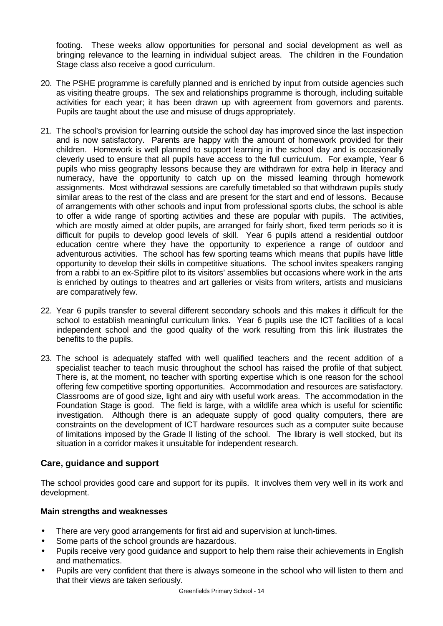footing. These weeks allow opportunities for personal and social development as well as bringing relevance to the learning in individual subject areas. The children in the Foundation Stage class also receive a good curriculum.

- 20. The PSHE programme is carefully planned and is enriched by input from outside agencies such as visiting theatre groups. The sex and relationships programme is thorough, including suitable activities for each year; it has been drawn up with agreement from governors and parents. Pupils are taught about the use and misuse of drugs appropriately.
- 21. The school's provision for learning outside the school day has improved since the last inspection and is now satisfactory. Parents are happy with the amount of homework provided for their children. Homework is well planned to support learning in the school day and is occasionally cleverly used to ensure that all pupils have access to the full curriculum. For example, Year 6 pupils who miss geography lessons because they are withdrawn for extra help in literacy and numeracy, have the opportunity to catch up on the missed learning through homework assignments. Most withdrawal sessions are carefully timetabled so that withdrawn pupils study similar areas to the rest of the class and are present for the start and end of lessons. Because of arrangements with other schools and input from professional sports clubs, the school is able to offer a wide range of sporting activities and these are popular with pupils. The activities, which are mostly aimed at older pupils, are arranged for fairly short, fixed term periods so it is difficult for pupils to develop good levels of skill. Year 6 pupils attend a residential outdoor education centre where they have the opportunity to experience a range of outdoor and adventurous activities. The school has few sporting teams which means that pupils have little opportunity to develop their skills in competitive situations. The school invites speakers ranging from a rabbi to an ex-Spitfire pilot to its visitors' assemblies but occasions where work in the arts is enriched by outings to theatres and art galleries or visits from writers, artists and musicians are comparatively few.
- 22. Year 6 pupils transfer to several different secondary schools and this makes it difficult for the school to establish meaningful curriculum links. Year 6 pupils use the ICT facilities of a local independent school and the good quality of the work resulting from this link illustrates the benefits to the pupils.
- 23. The school is adequately staffed with well qualified teachers and the recent addition of a specialist teacher to teach music throughout the school has raised the profile of that subject. There is, at the moment, no teacher with sporting expertise which is one reason for the school offering few competitive sporting opportunities. Accommodation and resources are satisfactory. Classrooms are of good size, light and airy with useful work areas. The accommodation in the Foundation Stage is good. The field is large, with a wildlife area which is useful for scientific investigation. Although there is an adequate supply of good quality computers, there are constraints on the development of ICT hardware resources such as a computer suite because of limitations imposed by the Grade ll listing of the school. The library is well stocked, but its situation in a corridor makes it unsuitable for independent research.

# **Care, guidance and support**

The school provides good care and support for its pupils. It involves them very well in its work and development.

#### **Main strengths and weaknesses**

- There are very good arrangements for first aid and supervision at lunch-times.
- Some parts of the school grounds are hazardous.
- Pupils receive very good guidance and support to help them raise their achievements in English and mathematics.
- Pupils are very confident that there is always someone in the school who will listen to them and that their views are taken seriously.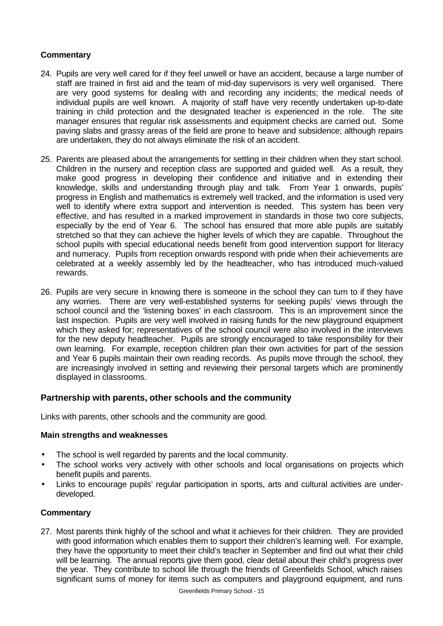# **Commentary**

- 24. Pupils are very well cared for if they feel unwell or have an accident, because a large number of staff are trained in first aid and the team of mid-day supervisors is very well organised. There are very good systems for dealing with and recording any incidents; the medical needs of individual pupils are well known. A majority of staff have very recently undertaken up-to-date training in child protection and the designated teacher is experienced in the role. The site manager ensures that regular risk assessments and equipment checks are carried out. Some paving slabs and grassy areas of the field are prone to heave and subsidence; although repairs are undertaken, they do not always eliminate the risk of an accident.
- 25. Parents are pleased about the arrangements for settling in their children when they start school. Children in the nursery and reception class are supported and guided well. As a result, they make good progress in developing their confidence and initiative and in extending their knowledge, skills and understanding through play and talk. From Year 1 onwards, pupils' progress in English and mathematics is extremely well tracked, and the information is used very well to identify where extra support and intervention is needed. This system has been very effective, and has resulted in a marked improvement in standards in those two core subjects, especially by the end of Year 6. The school has ensured that more able pupils are suitably stretched so that they can achieve the higher levels of which they are capable. Throughout the school pupils with special educational needs benefit from good intervention support for literacy and numeracy. Pupils from reception onwards respond with pride when their achievements are celebrated at a weekly assembly led by the headteacher, who has introduced much-valued rewards.
- 26. Pupils are very secure in knowing there is someone in the school they can turn to if they have any worries. There are very well-established systems for seeking pupils' views through the school council and the 'listening boxes' in each classroom. This is an improvement since the last inspection. Pupils are very well involved in raising funds for the new playground equipment which they asked for; representatives of the school council were also involved in the interviews for the new deputy headteacher. Pupils are strongly encouraged to take responsibility for their own learning. For example, reception children plan their own activities for part of the session and Year 6 pupils maintain their own reading records. As pupils move through the school, they are increasingly involved in setting and reviewing their personal targets which are prominently displayed in classrooms.

# **Partnership with parents, other schools and the community**

Links with parents, other schools and the community are good.

#### **Main strengths and weaknesses**

- The school is well regarded by parents and the local community.
- The school works very actively with other schools and local organisations on projects which benefit pupils and parents.
- Links to encourage pupils' regular participation in sports, arts and cultural activities are underdeveloped.

#### **Commentary**

27. Most parents think highly of the school and what it achieves for their children. They are provided with good information which enables them to support their children's learning well. For example, they have the opportunity to meet their child's teacher in September and find out what their child will be learning. The annual reports give them good, clear detail about their child's progress over the year. They contribute to school life through the friends of Greenfields School, which raises significant sums of money for items such as computers and playground equipment, and runs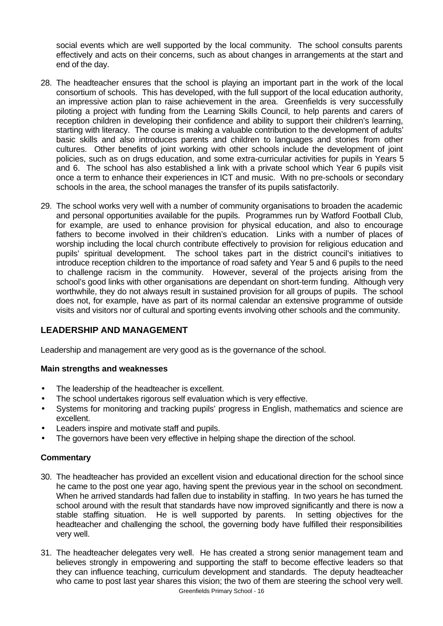social events which are well supported by the local community. The school consults parents effectively and acts on their concerns, such as about changes in arrangements at the start and end of the day.

- 28. The headteacher ensures that the school is playing an important part in the work of the local consortium of schools. This has developed, with the full support of the local education authority, an impressive action plan to raise achievement in the area. Greenfields is very successfully piloting a project with funding from the Learning Skills Council, to help parents and carers of reception children in developing their confidence and ability to support their children's learning, starting with literacy. The course is making a valuable contribution to the development of adults' basic skills and also introduces parents and children to languages and stories from other cultures. Other benefits of joint working with other schools include the development of joint policies, such as on drugs education, and some extra-curricular activities for pupils in Years 5 and 6. The school has also established a link with a private school which Year 6 pupils visit once a term to enhance their experiences in ICT and music. With no pre-schools or secondary schools in the area, the school manages the transfer of its pupils satisfactorily.
- 29. The school works very well with a number of community organisations to broaden the academic and personal opportunities available for the pupils. Programmes run by Watford Football Club, for example, are used to enhance provision for physical education, and also to encourage fathers to become involved in their children's education. Links with a number of places of worship including the local church contribute effectively to provision for religious education and pupils' spiritual development. The school takes part in the district council's initiatives to introduce reception children to the importance of road safety and Year 5 and 6 pupils to the need to challenge racism in the community. However, several of the projects arising from the school's good links with other organisations are dependant on short-term funding. Although very worthwhile, they do not always result in sustained provision for all groups of pupils. The school does not, for example, have as part of its normal calendar an extensive programme of outside visits and visitors nor of cultural and sporting events involving other schools and the community.

# **LEADERSHIP AND MANAGEMENT**

Leadership and management are very good as is the governance of the school.

#### **Main strengths and weaknesses**

- The leadership of the headteacher is excellent.
- The school undertakes rigorous self evaluation which is very effective.
- Systems for monitoring and tracking pupils' progress in English, mathematics and science are excellent.
- Leaders inspire and motivate staff and pupils.
- The governors have been very effective in helping shape the direction of the school.

#### **Commentary**

- 30. The headteacher has provided an excellent vision and educational direction for the school since he came to the post one year ago, having spent the previous year in the school on secondment. When he arrived standards had fallen due to instability in staffing. In two years he has turned the school around with the result that standards have now improved significantly and there is now a stable staffing situation. He is well supported by parents. In setting objectives for the headteacher and challenging the school, the governing body have fulfilled their responsibilities very well.
- Greenfields Primary School 16 31. The headteacher delegates very well. He has created a strong senior management team and believes strongly in empowering and supporting the staff to become effective leaders so that they can influence teaching, curriculum development and standards. The deputy headteacher who came to post last year shares this vision; the two of them are steering the school very well.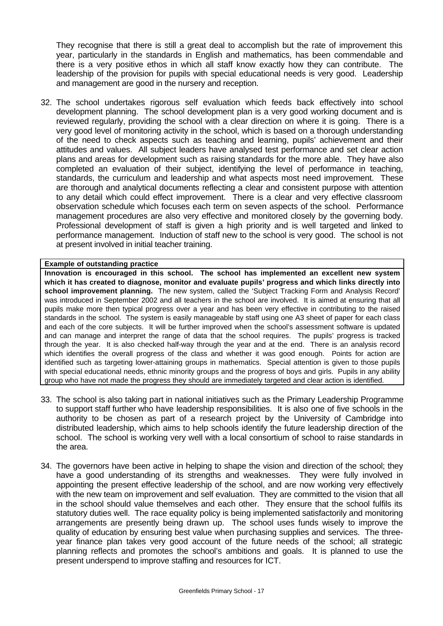They recognise that there is still a great deal to accomplish but the rate of improvement this year, particularly in the standards in English and mathematics, has been commendable and there is a very positive ethos in which all staff know exactly how they can contribute. The leadership of the provision for pupils with special educational needs is very good. Leadership and management are good in the nursery and reception.

32. The school undertakes rigorous self evaluation which feeds back effectively into school development planning. The school development plan is a very good working document and is reviewed regularly, providing the school with a clear direction on where it is going. There is a very good level of monitoring activity in the school, which is based on a thorough understanding of the need to check aspects such as teaching and learning, pupils' achievement and their attitudes and values. All subject leaders have analysed test performance and set clear action plans and areas for development such as raising standards for the more able. They have also completed an evaluation of their subject, identifying the level of performance in teaching, standards, the curriculum and leadership and what aspects most need improvement. These are thorough and analytical documents reflecting a clear and consistent purpose with attention to any detail which could effect improvement. There is a clear and very effective classroom observation schedule which focuses each term on seven aspects of the school. Performance management procedures are also very effective and monitored closely by the governing body. Professional development of staff is given a high priority and is well targeted and linked to performance management. Induction of staff new to the school is very good. The school is not at present involved in initial teacher training.

#### **Example of outstanding practice**

**Innovation is encouraged in this school. The school has implemented an excellent new system which it has created to diagnose, monitor and evaluate pupils' progress and which links directly into school improvement planning.** The new system, called the 'Subject Tracking Form and Analysis Record' was introduced in September 2002 and all teachers in the school are involved. It is aimed at ensuring that all pupils make more then typical progress over a year and has been very effective in contributing to the raised standards in the school. The system is easily manageable by staff using one A3 sheet of paper for each class and each of the core subjects. It will be further improved when the school's assessment software is updated and can manage and interpret the range of data that the school requires. The pupils' progress is tracked through the year. It is also checked half-way through the year and at the end. There is an analysis record which identifies the overall progress of the class and whether it was good enough. Points for action are identified such as targeting lower-attaining groups in mathematics. Special attention is given to those pupils with special educational needs, ethnic minority groups and the progress of boys and girls. Pupils in any ability group who have not made the progress they should are immediately targeted and clear action is identified.

- 33. The school is also taking part in national initiatives such as the Primary Leadership Programme to support staff further who have leadership responsibilities. It is also one of five schools in the authority to be chosen as part of a research project by the University of Cambridge into distributed leadership, which aims to help schools identify the future leadership direction of the school. The school is working very well with a local consortium of school to raise standards in the area.
- 34. The governors have been active in helping to shape the vision and direction of the school; they have a good understanding of its strengths and weaknesses. They were fully involved in appointing the present effective leadership of the school, and are now working very effectively with the new team on improvement and self evaluation. They are committed to the vision that all in the school should value themselves and each other. They ensure that the school fulfils its statutory duties well. The race equality policy is being implemented satisfactorily and monitoring arrangements are presently being drawn up. The school uses funds wisely to improve the quality of education by ensuring best value when purchasing supplies and services. The threeyear finance plan takes very good account of the future needs of the school; all strategic planning reflects and promotes the school's ambitions and goals. It is planned to use the present underspend to improve staffing and resources for ICT.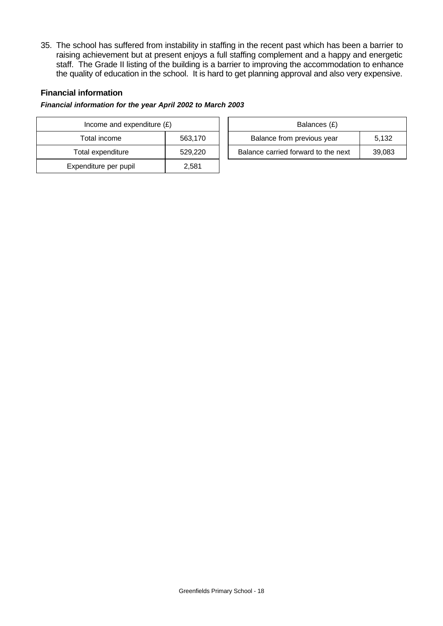35. The school has suffered from instability in staffing in the recent past which has been a barrier to raising achievement but at present enjoys a full staffing complement and a happy and energetic staff. The Grade II listing of the building is a barrier to improving the accommodation to enhance the quality of education in the school. It is hard to get planning approval and also very expensive.

# **Financial information**

#### *Financial information for the year April 2002 to March 2003*

| Income and expenditure $(E)$ |         |  | Balances (£)                     |
|------------------------------|---------|--|----------------------------------|
| Total income                 | 563,170 |  | Balance from previous year       |
| Total expenditure            | 529,220 |  | Balance carried forward to the r |
| Expenditure per pupil        | 2.581   |  |                                  |

| Income and expenditure $(E)$ |         | Balances (£)                        |        |
|------------------------------|---------|-------------------------------------|--------|
| Total income<br>563.170      |         | Balance from previous year          | 5.132  |
| Total expenditure            | 529,220 | Balance carried forward to the next | 39,083 |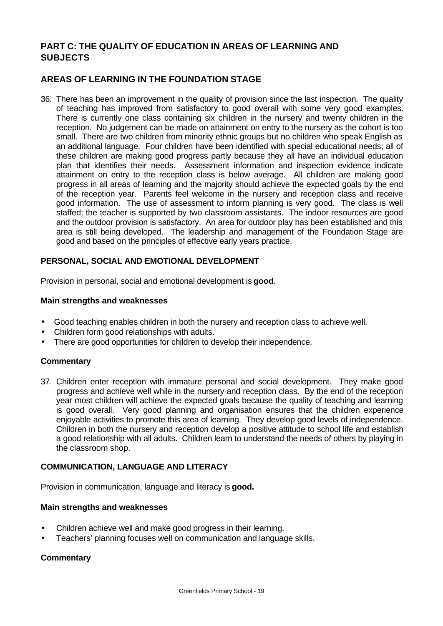# **PART C: THE QUALITY OF EDUCATION IN AREAS OF LEARNING AND SUBJECTS**

# **AREAS OF LEARNING IN THE FOUNDATION STAGE**

36. There has been an improvement in the quality of provision since the last inspection. The quality of teaching has improved from satisfactory to good overall with some very good examples. There is currently one class containing six children in the nursery and twenty children in the reception. No judgement can be made on attainment on entry to the nursery as the cohort is too small. There are two children from minority ethnic groups but no children who speak English as an additional language. Four children have been identified with special educational needs; all of these children are making good progress partly because they all have an individual education plan that identifies their needs. Assessment information and inspection evidence indicate attainment on entry to the reception class is below average. All children are making good progress in all areas of learning and the majority should achieve the expected goals by the end of the reception year. Parents feel welcome in the nursery and reception class and receive good information. The use of assessment to inform planning is very good. The class is well staffed; the teacher is supported by two classroom assistants. The indoor resources are good and the outdoor provision is satisfactory. An area for outdoor play has been established and this area is still being developed. The leadership and management of the Foundation Stage are good and based on the principles of effective early years practice.

#### **PERSONAL, SOCIAL AND EMOTIONAL DEVELOPMENT**

Provision in personal, social and emotional development is **good**.

#### **Main strengths and weaknesses**

- Good teaching enables children in both the nursery and reception class to achieve well.
- Children form good relationships with adults.
- There are good opportunities for children to develop their independence.

#### **Commentary**

37. Children enter reception with immature personal and social development. They make good progress and achieve well while in the nursery and reception class. By the end of the reception year most children will achieve the expected goals because the quality of teaching and learning is good overall. Very good planning and organisation ensures that the children experience enjoyable activities to promote this area of learning. They develop good levels of independence. Children in both the nursery and reception develop a positive attitude to school life and establish a good relationship with all adults. Children learn to understand the needs of others by playing in the classroom shop.

#### **COMMUNICATION, LANGUAGE AND LITERACY**

Provision in communication, language and literacy is **good.**

#### **Main strengths and weaknesses**

- Children achieve well and make good progress in their learning.
- Teachers' planning focuses well on communication and language skills.

#### **Commentary**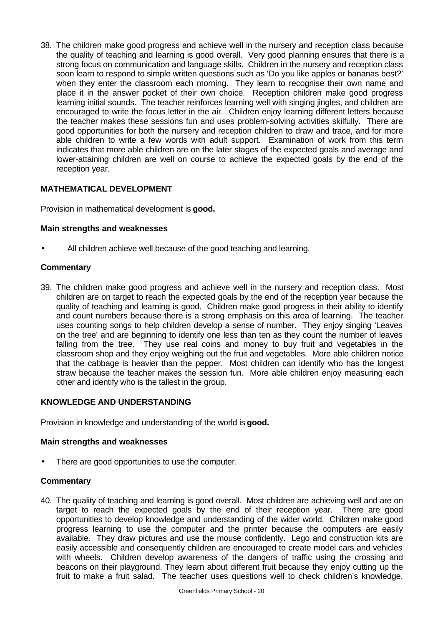38. The children make good progress and achieve well in the nursery and reception class because the quality of teaching and learning is good overall. Very good planning ensures that there is a strong focus on communication and language skills. Children in the nursery and reception class soon learn to respond to simple written questions such as 'Do you like apples or bananas best?' when they enter the classroom each morning. They learn to recognise their own name and place it in the answer pocket of their own choice. Reception children make good progress learning initial sounds. The teacher reinforces learning well with singing jingles, and children are encouraged to write the focus letter in the air. Children enjoy learning different letters because the teacher makes these sessions fun and uses problem-solving activities skilfully. There are good opportunities for both the nursery and reception children to draw and trace, and for more able children to write a few words with adult support. Examination of work from this term indicates that more able children are on the later stages of the expected goals and average and lower-attaining children are well on course to achieve the expected goals by the end of the reception year.

# **MATHEMATICAL DEVELOPMENT**

Provision in mathematical development is **good.**

#### **Main strengths and weaknesses**

All children achieve well because of the good teaching and learning.

#### **Commentary**

39. The children make good progress and achieve well in the nursery and reception class. Most children are on target to reach the expected goals by the end of the reception year because the quality of teaching and learning is good. Children make good progress in their ability to identify and count numbers because there is a strong emphasis on this area of learning. The teacher uses counting songs to help children develop a sense of number. They enjoy singing 'Leaves on the tree' and are beginning to identify one less than ten as they count the number of leaves falling from the tree. They use real coins and money to buy fruit and vegetables in the classroom shop and they enjoy weighing out the fruit and vegetables. More able children notice that the cabbage is heavier than the pepper. Most children can identify who has the longest straw because the teacher makes the session fun. More able children enjoy measuring each other and identify who is the tallest in the group.

#### **KNOWLEDGE AND UNDERSTANDING**

Provision in knowledge and understanding of the world is **good.**

#### **Main strengths and weaknesses**

There are good opportunities to use the computer.

#### **Commentary**

40. The quality of teaching and learning is good overall. Most children are achieving well and are on target to reach the expected goals by the end of their reception year. There are good opportunities to develop knowledge and understanding of the wider world. Children make good progress learning to use the computer and the printer because the computers are easily available. They draw pictures and use the mouse confidently. Lego and construction kits are easily accessible and consequently children are encouraged to create model cars and vehicles with wheels. Children develop awareness of the dangers of traffic using the crossing and beacons on their playground. They learn about different fruit because they enjoy cutting up the fruit to make a fruit salad. The teacher uses questions well to check children's knowledge.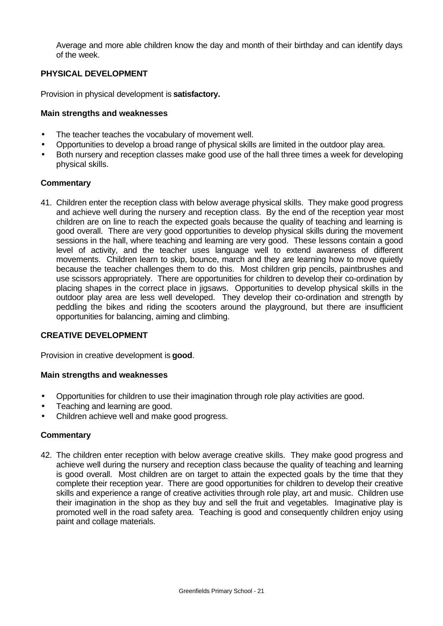Average and more able children know the day and month of their birthday and can identify days of the week.

# **PHYSICAL DEVELOPMENT**

Provision in physical development is **satisfactory.**

# **Main strengths and weaknesses**

- The teacher teaches the vocabulary of movement well.
- Opportunities to develop a broad range of physical skills are limited in the outdoor play area.
- Both nursery and reception classes make good use of the hall three times a week for developing physical skills.

#### **Commentary**

41. Children enter the reception class with below average physical skills. They make good progress and achieve well during the nursery and reception class. By the end of the reception year most children are on line to reach the expected goals because the quality of teaching and learning is good overall. There are very good opportunities to develop physical skills during the movement sessions in the hall, where teaching and learning are very good. These lessons contain a good level of activity, and the teacher uses language well to extend awareness of different movements. Children learn to skip, bounce, march and they are learning how to move quietly because the teacher challenges them to do this. Most children grip pencils, paintbrushes and use scissors appropriately. There are opportunities for children to develop their co-ordination by placing shapes in the correct place in jigsaws. Opportunities to develop physical skills in the outdoor play area are less well developed. They develop their co-ordination and strength by peddling the bikes and riding the scooters around the playground, but there are insufficient opportunities for balancing, aiming and climbing.

#### **CREATIVE DEVELOPMENT**

Provision in creative development is **good**.

#### **Main strengths and weaknesses**

- Opportunities for children to use their imagination through role play activities are good.
- Teaching and learning are good.
- Children achieve well and make good progress.

# **Commentary**

42. The children enter reception with below average creative skills. They make good progress and achieve well during the nursery and reception class because the quality of teaching and learning is good overall. Most children are on target to attain the expected goals by the time that they complete their reception year. There are good opportunities for children to develop their creative skills and experience a range of creative activities through role play, art and music. Children use their imagination in the shop as they buy and sell the fruit and vegetables. Imaginative play is promoted well in the road safety area. Teaching is good and consequently children enjoy using paint and collage materials.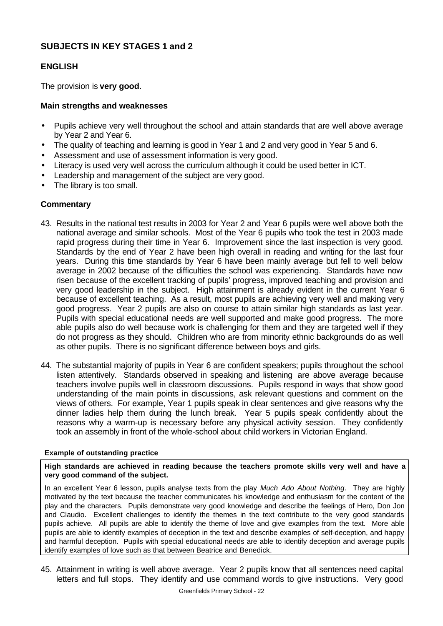# **SUBJECTS IN KEY STAGES 1 and 2**

# **ENGLISH**

The provision is **very good**.

### **Main strengths and weaknesses**

- Pupils achieve very well throughout the school and attain standards that are well above average by Year 2 and Year 6.
- The quality of teaching and learning is good in Year 1 and 2 and very good in Year 5 and 6.
- Assessment and use of assessment information is very good.
- Literacy is used very well across the curriculum although it could be used better in ICT.
- Leadership and management of the subject are very good.
- The library is too small.

#### **Commentary**

- 43. Results in the national test results in 2003 for Year 2 and Year 6 pupils were well above both the national average and similar schools. Most of the Year 6 pupils who took the test in 2003 made rapid progress during their time in Year 6. Improvement since the last inspection is very good. Standards by the end of Year 2 have been high overall in reading and writing for the last four years. During this time standards by Year 6 have been mainly average but fell to well below average in 2002 because of the difficulties the school was experiencing. Standards have now risen because of the excellent tracking of pupils' progress, improved teaching and provision and very good leadership in the subject. High attainment is already evident in the current Year 6 because of excellent teaching. As a result, most pupils are achieving very well and making very good progress. Year 2 pupils are also on course to attain similar high standards as last year. Pupils with special educational needs are well supported and make good progress. The more able pupils also do well because work is challenging for them and they are targeted well if they do not progress as they should. Children who are from minority ethnic backgrounds do as well as other pupils. There is no significant difference between boys and girls.
- 44. The substantial majority of pupils in Year 6 are confident speakers; pupils throughout the school listen attentively. Standards observed in speaking and listening are above average because teachers involve pupils well in classroom discussions. Pupils respond in ways that show good understanding of the main points in discussions, ask relevant questions and comment on the views of others. For example, Year 1 pupils speak in clear sentences and give reasons why the dinner ladies help them during the lunch break. Year 5 pupils speak confidently about the reasons why a warm-up is necessary before any physical activity session. They confidently took an assembly in front of the whole-school about child workers in Victorian England.

#### **Example of outstanding practice**

**High standards are achieved in reading because the teachers promote skills very well and have a very good command of the subject.**

In an excellent Year 6 lesson, pupils analyse texts from the play *Much Ado About Nothing*. They are highly motivated by the text because the teacher communicates his knowledge and enthusiasm for the content of the play and the characters. Pupils demonstrate very good knowledge and describe the feelings of Hero, Don Jon and Claudio. Excellent challenges to identify the themes in the text contribute to the very good standards pupils achieve. All pupils are able to identify the theme of love and give examples from the text. More able pupils are able to identify examples of deception in the text and describe examples of self-deception, and happy and harmful deception. Pupils with special educational needs are able to identify deception and average pupils identify examples of love such as that between Beatrice and Benedick.

45. Attainment in writing is well above average. Year 2 pupils know that all sentences need capital letters and full stops. They identify and use command words to give instructions. Very good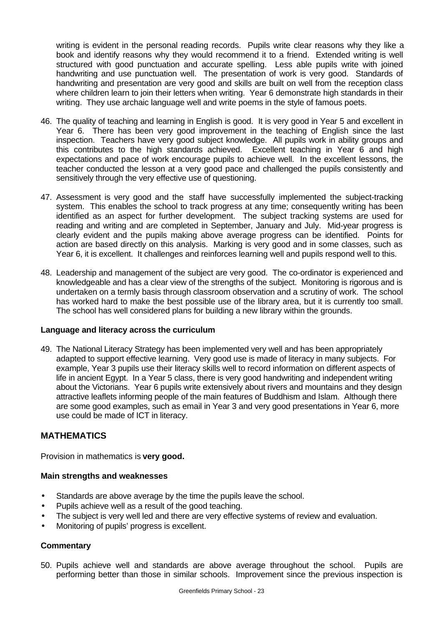writing is evident in the personal reading records. Pupils write clear reasons why they like a book and identify reasons why they would recommend it to a friend. Extended writing is well structured with good punctuation and accurate spelling. Less able pupils write with joined handwriting and use punctuation well. The presentation of work is very good. Standards of handwriting and presentation are very good and skills are built on well from the reception class where children learn to join their letters when writing. Year 6 demonstrate high standards in their writing. They use archaic language well and write poems in the style of famous poets.

- 46. The quality of teaching and learning in English is good. It is very good in Year 5 and excellent in Year 6. There has been very good improvement in the teaching of English since the last inspection. Teachers have very good subject knowledge. All pupils work in ability groups and this contributes to the high standards achieved. Excellent teaching in Year 6 and high expectations and pace of work encourage pupils to achieve well. In the excellent lessons, the teacher conducted the lesson at a very good pace and challenged the pupils consistently and sensitively through the very effective use of questioning.
- 47. Assessment is very good and the staff have successfully implemented the subject-tracking system. This enables the school to track progress at any time; consequently writing has been identified as an aspect for further development. The subject tracking systems are used for reading and writing and are completed in September, January and July. Mid-year progress is clearly evident and the pupils making above average progress can be identified. Points for action are based directly on this analysis. Marking is very good and in some classes, such as Year 6, it is excellent. It challenges and reinforces learning well and pupils respond well to this.
- 48. Leadership and management of the subject are very good. The co-ordinator is experienced and knowledgeable and has a clear view of the strengths of the subject. Monitoring is rigorous and is undertaken on a termly basis through classroom observation and a scrutiny of work. The school has worked hard to make the best possible use of the library area, but it is currently too small. The school has well considered plans for building a new library within the grounds.

#### **Language and literacy across the curriculum**

49. The National Literacy Strategy has been implemented very well and has been appropriately adapted to support effective learning. Very good use is made of literacy in many subjects. For example, Year 3 pupils use their literacy skills well to record information on different aspects of life in ancient Egypt. In a Year 5 class, there is very good handwriting and independent writing about the Victorians. Year 6 pupils write extensively about rivers and mountains and they design attractive leaflets informing people of the main features of Buddhism and Islam. Although there are some good examples, such as email in Year 3 and very good presentations in Year 6, more use could be made of ICT in literacy.

#### **MATHEMATICS**

Provision in mathematics is **very good.**

#### **Main strengths and weaknesses**

- Standards are above average by the time the pupils leave the school.
- Pupils achieve well as a result of the good teaching.
- The subject is very well led and there are very effective systems of review and evaluation.
- Monitoring of pupils' progress is excellent.

#### **Commentary**

50. Pupils achieve well and standards are above average throughout the school. Pupils are performing better than those in similar schools. Improvement since the previous inspection is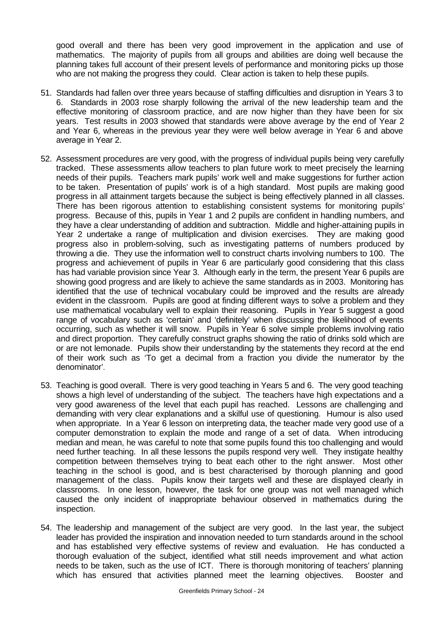good overall and there has been very good improvement in the application and use of mathematics. The majority of pupils from all groups and abilities are doing well because the planning takes full account of their present levels of performance and monitoring picks up those who are not making the progress they could. Clear action is taken to help these pupils.

- 51. Standards had fallen over three years because of staffing difficulties and disruption in Years 3 to 6. Standards in 2003 rose sharply following the arrival of the new leadership team and the effective monitoring of classroom practice, and are now higher than they have been for six years. Test results in 2003 showed that standards were above average by the end of Year 2 and Year 6, whereas in the previous year they were well below average in Year 6 and above average in Year 2.
- 52. Assessment procedures are very good, with the progress of individual pupils being very carefully tracked. These assessments allow teachers to plan future work to meet precisely the learning needs of their pupils. Teachers mark pupils' work well and make suggestions for further action to be taken. Presentation of pupils' work is of a high standard. Most pupils are making good progress in all attainment targets because the subject is being effectively planned in all classes. There has been rigorous attention to establishing consistent systems for monitoring pupils' progress. Because of this, pupils in Year 1 and 2 pupils are confident in handling numbers, and they have a clear understanding of addition and subtraction. Middle and higher-attaining pupils in Year 2 undertake a range of multiplication and division exercises. They are making good progress also in problem-solving, such as investigating patterns of numbers produced by throwing a die. They use the information well to construct charts involving numbers to 100. The progress and achievement of pupils in Year 6 are particularly good considering that this class has had variable provision since Year 3. Although early in the term, the present Year 6 pupils are showing good progress and are likely to achieve the same standards as in 2003. Monitoring has identified that the use of technical vocabulary could be improved and the results are already evident in the classroom. Pupils are good at finding different ways to solve a problem and they use mathematical vocabulary well to explain their reasoning. Pupils in Year 5 suggest a good range of vocabulary such as 'certain' and 'definitely' when discussing the likelihood of events occurring, such as whether it will snow. Pupils in Year 6 solve simple problems involving ratio and direct proportion. They carefully construct graphs showing the ratio of drinks sold which are or are not lemonade. Pupils show their understanding by the statements they record at the end of their work such as 'To get a decimal from a fraction you divide the numerator by the denominator'.
- 53. Teaching is good overall. There is very good teaching in Years 5 and 6. The very good teaching shows a high level of understanding of the subject. The teachers have high expectations and a very good awareness of the level that each pupil has reached. Lessons are challenging and demanding with very clear explanations and a skilful use of questioning. Humour is also used when appropriate. In a Year 6 lesson on interpreting data, the teacher made very good use of a computer demonstration to explain the mode and range of a set of data. When introducing median and mean, he was careful to note that some pupils found this too challenging and would need further teaching. In all these lessons the pupils respond very well. They instigate healthy competition between themselves trying to beat each other to the right answer. Most other teaching in the school is good, and is best characterised by thorough planning and good management of the class. Pupils know their targets well and these are displayed clearly in classrooms. In one lesson, however, the task for one group was not well managed which caused the only incident of inappropriate behaviour observed in mathematics during the inspection.
- 54. The leadership and management of the subject are very good. In the last year, the subject leader has provided the inspiration and innovation needed to turn standards around in the school and has established very effective systems of review and evaluation. He has conducted a thorough evaluation of the subject, identified what still needs improvement and what action needs to be taken, such as the use of ICT. There is thorough monitoring of teachers' planning which has ensured that activities planned meet the learning objectives. Booster and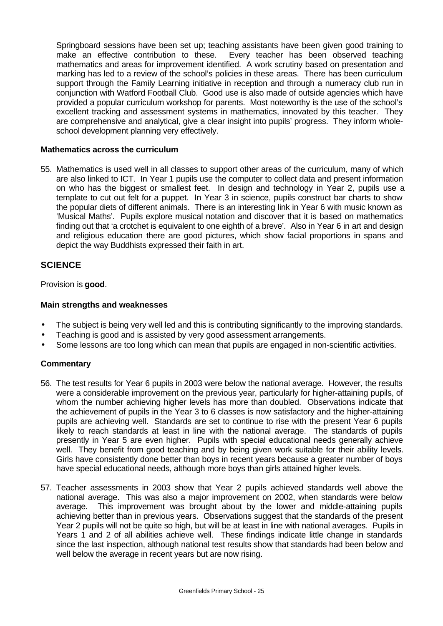Springboard sessions have been set up; teaching assistants have been given good training to make an effective contribution to these. Every teacher has been observed teaching mathematics and areas for improvement identified. A work scrutiny based on presentation and marking has led to a review of the school's policies in these areas. There has been curriculum support through the Family Learning initiative in reception and through a numeracy club run in conjunction with Watford Football Club. Good use is also made of outside agencies which have provided a popular curriculum workshop for parents. Most noteworthy is the use of the school's excellent tracking and assessment systems in mathematics, innovated by this teacher. They are comprehensive and analytical, give a clear insight into pupils' progress. They inform wholeschool development planning very effectively.

#### **Mathematics across the curriculum**

55. Mathematics is used well in all classes to support other areas of the curriculum, many of which are also linked to ICT. In Year 1 pupils use the computer to collect data and present information on who has the biggest or smallest feet. In design and technology in Year 2, pupils use a template to cut out felt for a puppet. In Year 3 in science, pupils construct bar charts to show the popular diets of different animals. There is an interesting link in Year 6 with music known as 'Musical Maths'. Pupils explore musical notation and discover that it is based on mathematics finding out that 'a crotchet is equivalent to one eighth of a breve'. Also in Year 6 in art and design and religious education there are good pictures, which show facial proportions in spans and depict the way Buddhists expressed their faith in art.

# **SCIENCE**

Provision is **good**.

#### **Main strengths and weaknesses**

- The subject is being very well led and this is contributing significantly to the improving standards.
- Teaching is good and is assisted by very good assessment arrangements.
- Some lessons are too long which can mean that pupils are engaged in non-scientific activities.

#### **Commentary**

- 56. The test results for Year 6 pupils in 2003 were below the national average. However, the results were a considerable improvement on the previous year, particularly for higher-attaining pupils, of whom the number achieving higher levels has more than doubled. Observations indicate that the achievement of pupils in the Year 3 to 6 classes is now satisfactory and the higher-attaining pupils are achieving well. Standards are set to continue to rise with the present Year 6 pupils likely to reach standards at least in line with the national average. The standards of pupils presently in Year 5 are even higher. Pupils with special educational needs generally achieve well. They benefit from good teaching and by being given work suitable for their ability levels. Girls have consistently done better than boys in recent years because a greater number of boys have special educational needs, although more boys than girls attained higher levels.
- 57. Teacher assessments in 2003 show that Year 2 pupils achieved standards well above the national average. This was also a major improvement on 2002, when standards were below average. This improvement was brought about by the lower and middle-attaining pupils achieving better than in previous years. Observations suggest that the standards of the present Year 2 pupils will not be quite so high, but will be at least in line with national averages. Pupils in Years 1 and 2 of all abilities achieve well. These findings indicate little change in standards since the last inspection, although national test results show that standards had been below and well below the average in recent years but are now rising.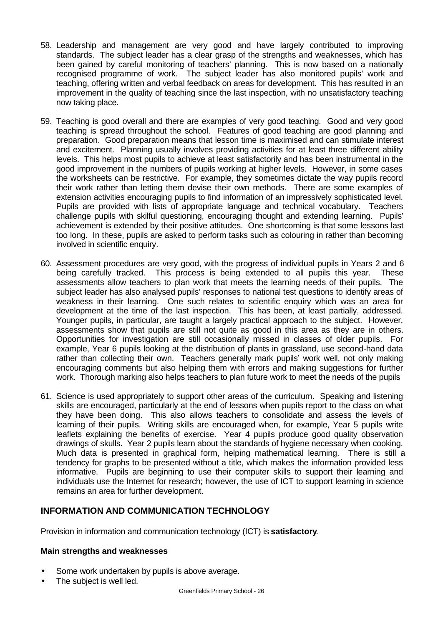- 58. Leadership and management are very good and have largely contributed to improving standards. The subject leader has a clear grasp of the strengths and weaknesses, which has been gained by careful monitoring of teachers' planning. This is now based on a nationally recognised programme of work. The subject leader has also monitored pupils' work and teaching, offering written and verbal feedback on areas for development. This has resulted in an improvement in the quality of teaching since the last inspection, with no unsatisfactory teaching now taking place.
- 59. Teaching is good overall and there are examples of very good teaching. Good and very good teaching is spread throughout the school. Features of good teaching are good planning and preparation. Good preparation means that lesson time is maximised and can stimulate interest and excitement. Planning usually involves providing activities for at least three different ability levels. This helps most pupils to achieve at least satisfactorily and has been instrumental in the good improvement in the numbers of pupils working at higher levels. However, in some cases the worksheets can be restrictive. For example, they sometimes dictate the way pupils record their work rather than letting them devise their own methods. There are some examples of extension activities encouraging pupils to find information of an impressively sophisticated level. Pupils are provided with lists of appropriate language and technical vocabulary. Teachers challenge pupils with skilful questioning, encouraging thought and extending learning. Pupils' achievement is extended by their positive attitudes. One shortcoming is that some lessons last too long. In these, pupils are asked to perform tasks such as colouring in rather than becoming involved in scientific enquiry.
- 60. Assessment procedures are very good, with the progress of individual pupils in Years 2 and 6 being carefully tracked. This process is being extended to all pupils this year. These assessments allow teachers to plan work that meets the learning needs of their pupils. The subject leader has also analysed pupils' responses to national test questions to identify areas of weakness in their learning. One such relates to scientific enquiry which was an area for development at the time of the last inspection. This has been, at least partially, addressed. Younger pupils, in particular, are taught a largely practical approach to the subject. However, assessments show that pupils are still not quite as good in this area as they are in others. Opportunities for investigation are still occasionally missed in classes of older pupils. For example, Year 6 pupils looking at the distribution of plants in grassland, use second-hand data rather than collecting their own. Teachers generally mark pupils' work well, not only making encouraging comments but also helping them with errors and making suggestions for further work. Thorough marking also helps teachers to plan future work to meet the needs of the pupils
- 61. Science is used appropriately to support other areas of the curriculum. Speaking and listening skills are encouraged, particularly at the end of lessons when pupils report to the class on what they have been doing. This also allows teachers to consolidate and assess the levels of learning of their pupils. Writing skills are encouraged when, for example, Year 5 pupils write leaflets explaining the benefits of exercise. Year 4 pupils produce good quality observation drawings of skulls. Year 2 pupils learn about the standards of hygiene necessary when cooking. Much data is presented in graphical form, helping mathematical learning. There is still a tendency for graphs to be presented without a title, which makes the information provided less informative. Pupils are beginning to use their computer skills to support their learning and individuals use the Internet for research; however, the use of ICT to support learning in science remains an area for further development.

# **INFORMATION AND COMMUNICATION TECHNOLOGY**

Provision in information and communication technology (ICT) is **satisfactory**.

#### **Main strengths and weaknesses**

- Some work undertaken by pupils is above average.
- The subject is well led.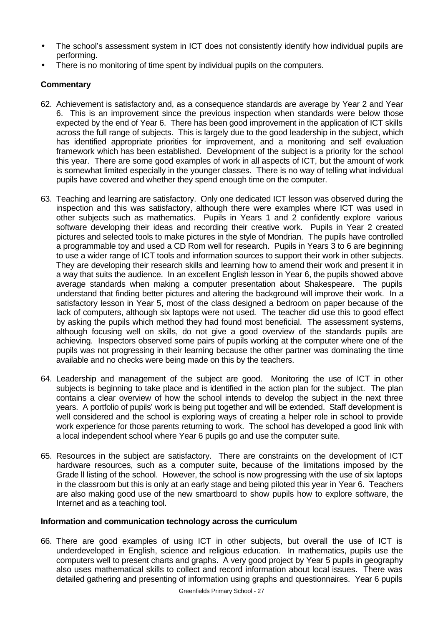- The school's assessment system in ICT does not consistently identify how individual pupils are performing.
- There is no monitoring of time spent by individual pupils on the computers.

# **Commentary**

- 62. Achievement is satisfactory and, as a consequence standards are average by Year 2 and Year 6. This is an improvement since the previous inspection when standards were below those expected by the end of Year 6. There has been good improvement in the application of ICT skills across the full range of subjects. This is largely due to the good leadership in the subject, which has identified appropriate priorities for improvement, and a monitoring and self evaluation framework which has been established. Development of the subject is a priority for the school this year. There are some good examples of work in all aspects of ICT, but the amount of work is somewhat limited especially in the younger classes. There is no way of telling what individual pupils have covered and whether they spend enough time on the computer.
- 63. Teaching and learning are satisfactory. Only one dedicated ICT lesson was observed during the inspection and this was satisfactory, although there were examples where ICT was used in other subjects such as mathematics. Pupils in Years 1 and 2 confidently explore various software developing their ideas and recording their creative work. Pupils in Year 2 created pictures and selected tools to make pictures in the style of Mondrian. The pupils have controlled a programmable toy and used a CD Rom well for research. Pupils in Years 3 to 6 are beginning to use a wider range of ICT tools and information sources to support their work in other subjects. They are developing their research skills and learning how to amend their work and present it in a way that suits the audience. In an excellent English lesson in Year 6, the pupils showed above average standards when making a computer presentation about Shakespeare. The pupils understand that finding better pictures and altering the background will improve their work. In a satisfactory lesson in Year 5, most of the class designed a bedroom on paper because of the lack of computers, although six laptops were not used. The teacher did use this to good effect by asking the pupils which method they had found most beneficial. The assessment systems, although focusing well on skills, do not give a good overview of the standards pupils are achieving. Inspectors observed some pairs of pupils working at the computer where one of the pupils was not progressing in their learning because the other partner was dominating the time available and no checks were being made on this by the teachers.
- 64. Leadership and management of the subject are good. Monitoring the use of ICT in other subjects is beginning to take place and is identified in the action plan for the subject. The plan contains a clear overview of how the school intends to develop the subject in the next three years. A portfolio of pupils' work is being put together and will be extended. Staff development is well considered and the school is exploring ways of creating a helper role in school to provide work experience for those parents returning to work. The school has developed a good link with a local independent school where Year 6 pupils go and use the computer suite.
- 65. Resources in the subject are satisfactory. There are constraints on the development of ICT hardware resources, such as a computer suite, because of the limitations imposed by the Grade ll listing of the school. However, the school is now progressing with the use of six laptops in the classroom but this is only at an early stage and being piloted this year in Year 6. Teachers are also making good use of the new smartboard to show pupils how to explore software, the Internet and as a teaching tool.

#### **Information and communication technology across the curriculum**

66. There are good examples of using ICT in other subjects, but overall the use of ICT is underdeveloped in English, science and religious education. In mathematics, pupils use the computers well to present charts and graphs. A very good project by Year 5 pupils in geography also uses mathematical skills to collect and record information about local issues. There was detailed gathering and presenting of information using graphs and questionnaires. Year 6 pupils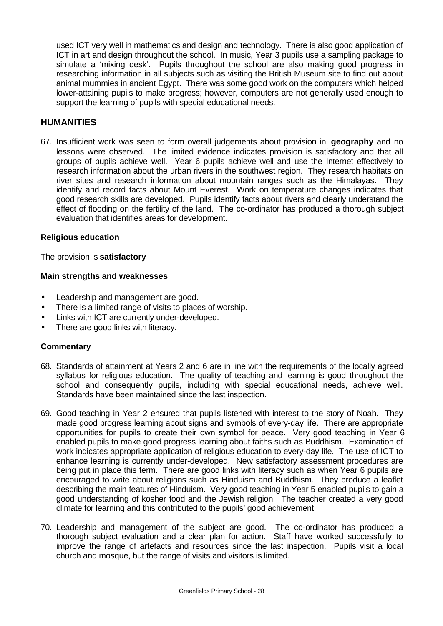used ICT very well in mathematics and design and technology. There is also good application of ICT in art and design throughout the school. In music, Year 3 pupils use a sampling package to simulate a 'mixing desk'. Pupils throughout the school are also making good progress in researching information in all subjects such as visiting the British Museum site to find out about animal mummies in ancient Egypt. There was some good work on the computers which helped lower-attaining pupils to make progress; however, computers are not generally used enough to support the learning of pupils with special educational needs.

# **HUMANITIES**

67. Insufficient work was seen to form overall judgements about provision in **geography** and no lessons were observed. The limited evidence indicates provision is satisfactory and that all groups of pupils achieve well. Year 6 pupils achieve well and use the Internet effectively to research information about the urban rivers in the southwest region. They research habitats on river sites and research information about mountain ranges such as the Himalayas. They identify and record facts about Mount Everest. Work on temperature changes indicates that good research skills are developed. Pupils identify facts about rivers and clearly understand the effect of flooding on the fertility of the land. The co-ordinator has produced a thorough subject evaluation that identifies areas for development.

#### **Religious education**

The provision is **satisfactory**.

#### **Main strengths and weaknesses**

- Leadership and management are good.
- There is a limited range of visits to places of worship.
- Links with ICT are currently under-developed.
- There are good links with literacy.

#### **Commentary**

- 68. Standards of attainment at Years 2 and 6 are in line with the requirements of the locally agreed syllabus for religious education. The quality of teaching and learning is good throughout the school and consequently pupils, including with special educational needs, achieve well. Standards have been maintained since the last inspection.
- 69. Good teaching in Year 2 ensured that pupils listened with interest to the story of Noah. They made good progress learning about signs and symbols of every-day life. There are appropriate opportunities for pupils to create their own symbol for peace. Very good teaching in Year 6 enabled pupils to make good progress learning about faiths such as Buddhism. Examination of work indicates appropriate application of religious education to every-day life. The use of ICT to enhance learning is currently under-developed. New satisfactory assessment procedures are being put in place this term. There are good links with literacy such as when Year 6 pupils are encouraged to write about religions such as Hinduism and Buddhism. They produce a leaflet describing the main features of Hinduism. Very good teaching in Year 5 enabled pupils to gain a good understanding of kosher food and the Jewish religion. The teacher created a very good climate for learning and this contributed to the pupils' good achievement.
- 70. Leadership and management of the subject are good. The co-ordinator has produced a thorough subject evaluation and a clear plan for action. Staff have worked successfully to improve the range of artefacts and resources since the last inspection. Pupils visit a local church and mosque, but the range of visits and visitors is limited.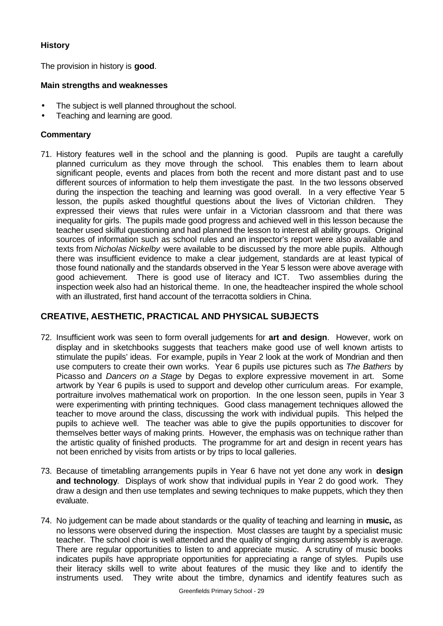# **History**

The provision in history is **good**.

### **Main strengths and weaknesses**

- The subject is well planned throughout the school.
- Teaching and learning are good.

# **Commentary**

71. History features well in the school and the planning is good. Pupils are taught a carefully planned curriculum as they move through the school. This enables them to learn about significant people, events and places from both the recent and more distant past and to use different sources of information to help them investigate the past. In the two lessons observed during the inspection the teaching and learning was good overall. In a very effective Year 5 lesson, the pupils asked thoughtful questions about the lives of Victorian children. They expressed their views that rules were unfair in a Victorian classroom and that there was inequality for girls. The pupils made good progress and achieved well in this lesson because the teacher used skilful questioning and had planned the lesson to interest all ability groups. Original sources of information such as school rules and an inspector's report were also available and texts from *Nicholas Nickelby* were available to be discussed by the more able pupils. Although there was insufficient evidence to make a clear judgement, standards are at least typical of those found nationally and the standards observed in the Year 5 lesson were above average with good achievement. There is good use of literacy and ICT. Two assemblies during the inspection week also had an historical theme. In one, the headteacher inspired the whole school with an illustrated, first hand account of the terracotta soldiers in China.

# **CREATIVE, AESTHETIC, PRACTICAL AND PHYSICAL SUBJECTS**

- 72. Insufficient work was seen to form overall judgements for **art and design**. However, work on display and in sketchbooks suggests that teachers make good use of well known artists to stimulate the pupils' ideas. For example, pupils in Year 2 look at the work of Mondrian and then use computers to create their own works. Year 6 pupils use pictures such as *The Bathers* by Picasso and *Dancers on a Stage* by Degas to explore expressive movement in art. Some artwork by Year 6 pupils is used to support and develop other curriculum areas. For example, portraiture involves mathematical work on proportion. In the one lesson seen, pupils in Year 3 were experimenting with printing techniques. Good class management techniques allowed the teacher to move around the class, discussing the work with individual pupils. This helped the pupils to achieve well. The teacher was able to give the pupils opportunities to discover for themselves better ways of making prints. However, the emphasis was on technique rather than the artistic quality of finished products. The programme for art and design in recent years has not been enriched by visits from artists or by trips to local galleries.
- 73. Because of timetabling arrangements pupils in Year 6 have not yet done any work in **design and technology**. Displays of work show that individual pupils in Year 2 do good work. They draw a design and then use templates and sewing techniques to make puppets, which they then evaluate.
- 74. No judgement can be made about standards or the quality of teaching and learning in **music,** as no lessons were observed during the inspection. Most classes are taught by a specialist music teacher. The school choir is well attended and the quality of singing during assembly is average. There are regular opportunities to listen to and appreciate music. A scrutiny of music books indicates pupils have appropriate opportunities for appreciating a range of styles. Pupils use their literacy skills well to write about features of the music they like and to identify the instruments used. They write about the timbre, dynamics and identify features such as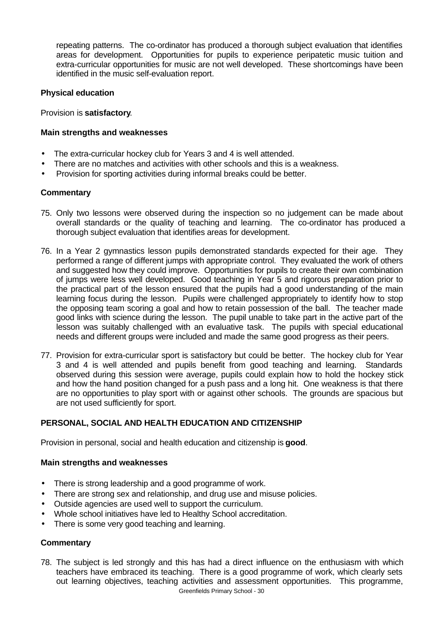repeating patterns. The co-ordinator has produced a thorough subject evaluation that identifies areas for development. Opportunities for pupils to experience peripatetic music tuition and extra-curricular opportunities for music are not well developed. These shortcomings have been identified in the music self-evaluation report.

# **Physical education**

#### Provision is **satisfactory**.

### **Main strengths and weaknesses**

- The extra-curricular hockey club for Years 3 and 4 is well attended.
- There are no matches and activities with other schools and this is a weakness.
- Provision for sporting activities during informal breaks could be better.

# **Commentary**

- 75. Only two lessons were observed during the inspection so no judgement can be made about overall standards or the quality of teaching and learning. The co-ordinator has produced a thorough subject evaluation that identifies areas for development.
- 76. In a Year 2 gymnastics lesson pupils demonstrated standards expected for their age. They performed a range of different jumps with appropriate control. They evaluated the work of others and suggested how they could improve. Opportunities for pupils to create their own combination of jumps were less well developed. Good teaching in Year 5 and rigorous preparation prior to the practical part of the lesson ensured that the pupils had a good understanding of the main learning focus during the lesson. Pupils were challenged appropriately to identify how to stop the opposing team scoring a goal and how to retain possession of the ball. The teacher made good links with science during the lesson. The pupil unable to take part in the active part of the lesson was suitably challenged with an evaluative task. The pupils with special educational needs and different groups were included and made the same good progress as their peers.
- 77. Provision for extra-curricular sport is satisfactory but could be better. The hockey club for Year 3 and 4 is well attended and pupils benefit from good teaching and learning. Standards observed during this session were average, pupils could explain how to hold the hockey stick and how the hand position changed for a push pass and a long hit. One weakness is that there are no opportunities to play sport with or against other schools. The grounds are spacious but are not used sufficiently for sport.

# **PERSONAL, SOCIAL AND HEALTH EDUCATION AND CITIZENSHIP**

Provision in personal, social and health education and citizenship is **good**.

#### **Main strengths and weaknesses**

- There is strong leadership and a good programme of work.
- There are strong sex and relationship, and drug use and misuse policies.
- Outside agencies are used well to support the curriculum.
- Whole school initiatives have led to Healthy School accreditation.
- There is some very good teaching and learning.

# **Commentary**

Greenfields Primary School - 30 78. The subject is led strongly and this has had a direct influence on the enthusiasm with which teachers have embraced its teaching. There is a good programme of work, which clearly sets out learning objectives, teaching activities and assessment opportunities. This programme,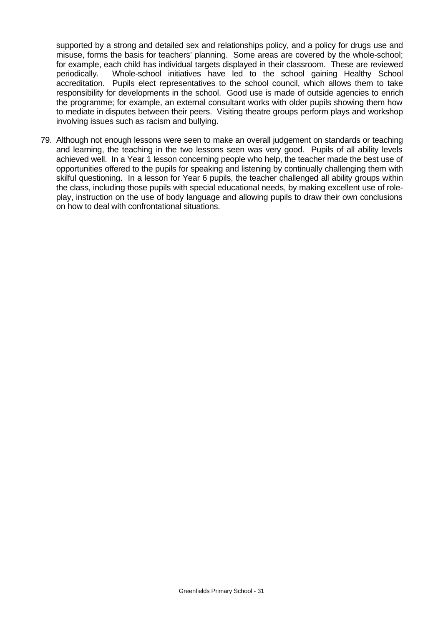supported by a strong and detailed sex and relationships policy, and a policy for drugs use and misuse, forms the basis for teachers' planning. Some areas are covered by the whole-school; for example, each child has individual targets displayed in their classroom. These are reviewed periodically. Whole-school initiatives have led to the school gaining Healthy School accreditation. Pupils elect representatives to the school council, which allows them to take responsibility for developments in the school. Good use is made of outside agencies to enrich the programme; for example, an external consultant works with older pupils showing them how to mediate in disputes between their peers. Visiting theatre groups perform plays and workshop involving issues such as racism and bullying.

79. Although not enough lessons were seen to make an overall judgement on standards or teaching and learning, the teaching in the two lessons seen was very good. Pupils of all ability levels achieved well. In a Year 1 lesson concerning people who help, the teacher made the best use of opportunities offered to the pupils for speaking and listening by continually challenging them with skilful questioning. In a lesson for Year 6 pupils, the teacher challenged all ability groups within the class, including those pupils with special educational needs, by making excellent use of roleplay, instruction on the use of body language and allowing pupils to draw their own conclusions on how to deal with confrontational situations.